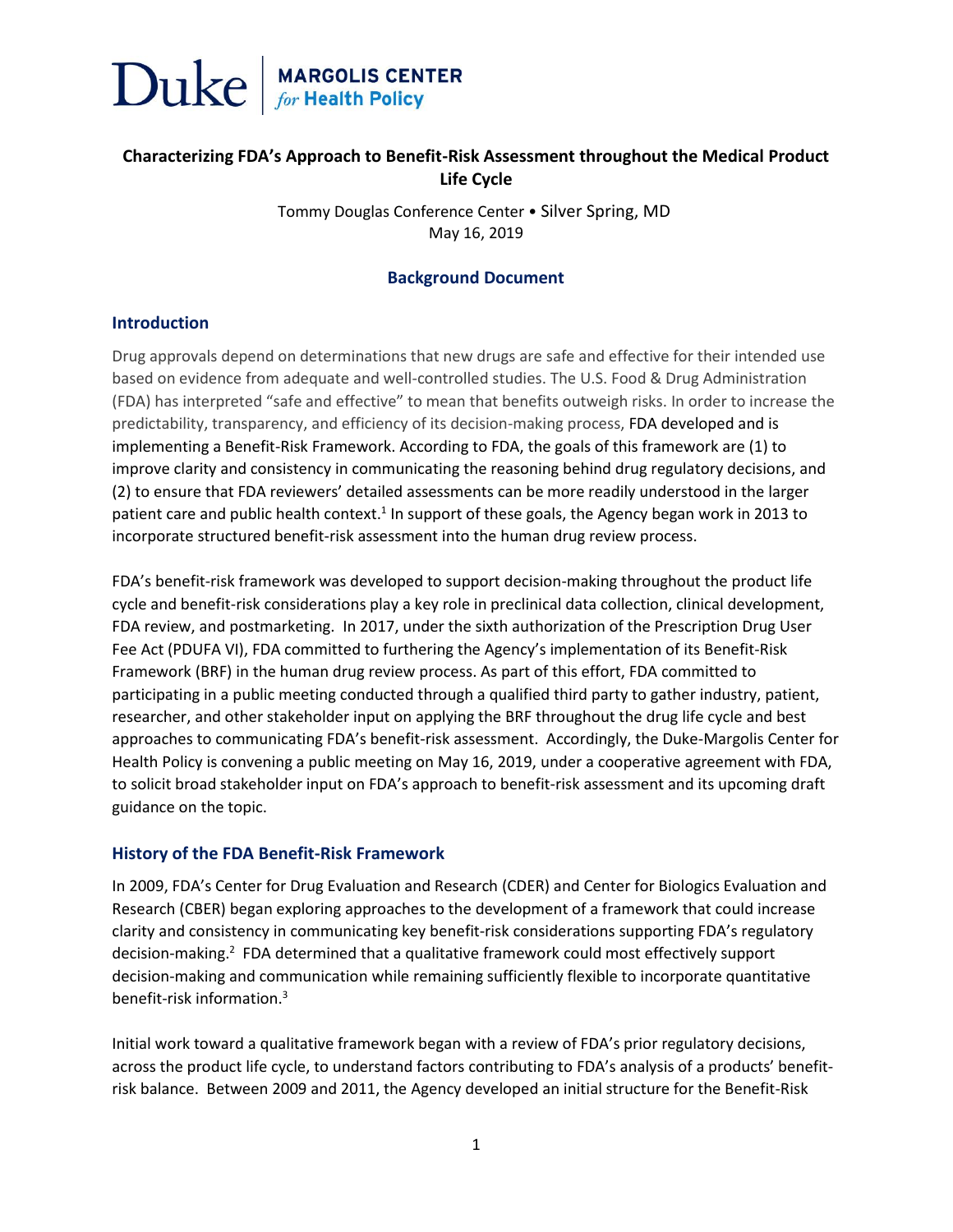

### **Characterizing FDA's Approach to Benefit-Risk Assessment throughout the Medical Product Life Cycle**

Tommy Douglas Conference Center • Silver Spring, MD May 16, 2019

#### **Background Document**

#### **Introduction**

Drug approvals depend on determinations that new drugs are safe and effective for their intended use based on evidence from adequate and well-controlled studies. The U.S. Food & Drug Administration (FDA) has interpreted "safe and effective" to mean that benefits outweigh risks. In order to increase the predictability, transparency, and efficiency of its decision-making process, FDA developed and is implementing a Benefit-Risk Framework. According to FDA, the goals of this framework are (1) to improve clarity and consistency in communicating the reasoning behind drug regulatory decisions, and (2) to ensure that FDA reviewers' detailed assessments can be more readily understood in the larger patient care and public health context.<sup>1</sup> In support of these goals, the Agency began work in 2013 to incorporate structured benefit-risk assessment into the human drug review process.

FDA's benefit-risk framework was developed to support decision-making throughout the product life cycle and benefit-risk considerations play a key role in preclinical data collection, clinical development, FDA review, and postmarketing. In 2017, under the sixth authorization of the Prescription Drug User Fee Act (PDUFA VI), FDA committed to furthering the Agency's implementation of its Benefit-Risk Framework (BRF) in the human drug review process. As part of this effort, FDA committed to participating in a public meeting conducted through a qualified third party to gather industry, patient, researcher, and other stakeholder input on applying the BRF throughout the drug life cycle and best approaches to communicating FDA's benefit-risk assessment. Accordingly, the Duke-Margolis Center for Health Policy is convening a public meeting on May 16, 2019, under a cooperative agreement with FDA, to solicit broad stakeholder input on FDA's approach to benefit-risk assessment and its upcoming draft guidance on the topic.

#### **History of the FDA Benefit-Risk Framework**

In 2009, FDA's Center for Drug Evaluation and Research (CDER) and Center for Biologics Evaluation and Research (CBER) began exploring approaches to the development of a framework that could increase clarity and consistency in communicating key benefit-risk considerations supporting FDA's regulatory decision-making.<sup>2</sup> FDA determined that a qualitative framework could most effectively support decision-making and communication while remaining sufficiently flexible to incorporate quantitative benefit-risk information.<sup>3</sup>

Initial work toward a qualitative framework began with a review of FDA's prior regulatory decisions, across the product life cycle, to understand factors contributing to FDA's analysis of a products' benefitrisk balance. Between 2009 and 2011, the Agency developed an initial structure for the Benefit-Risk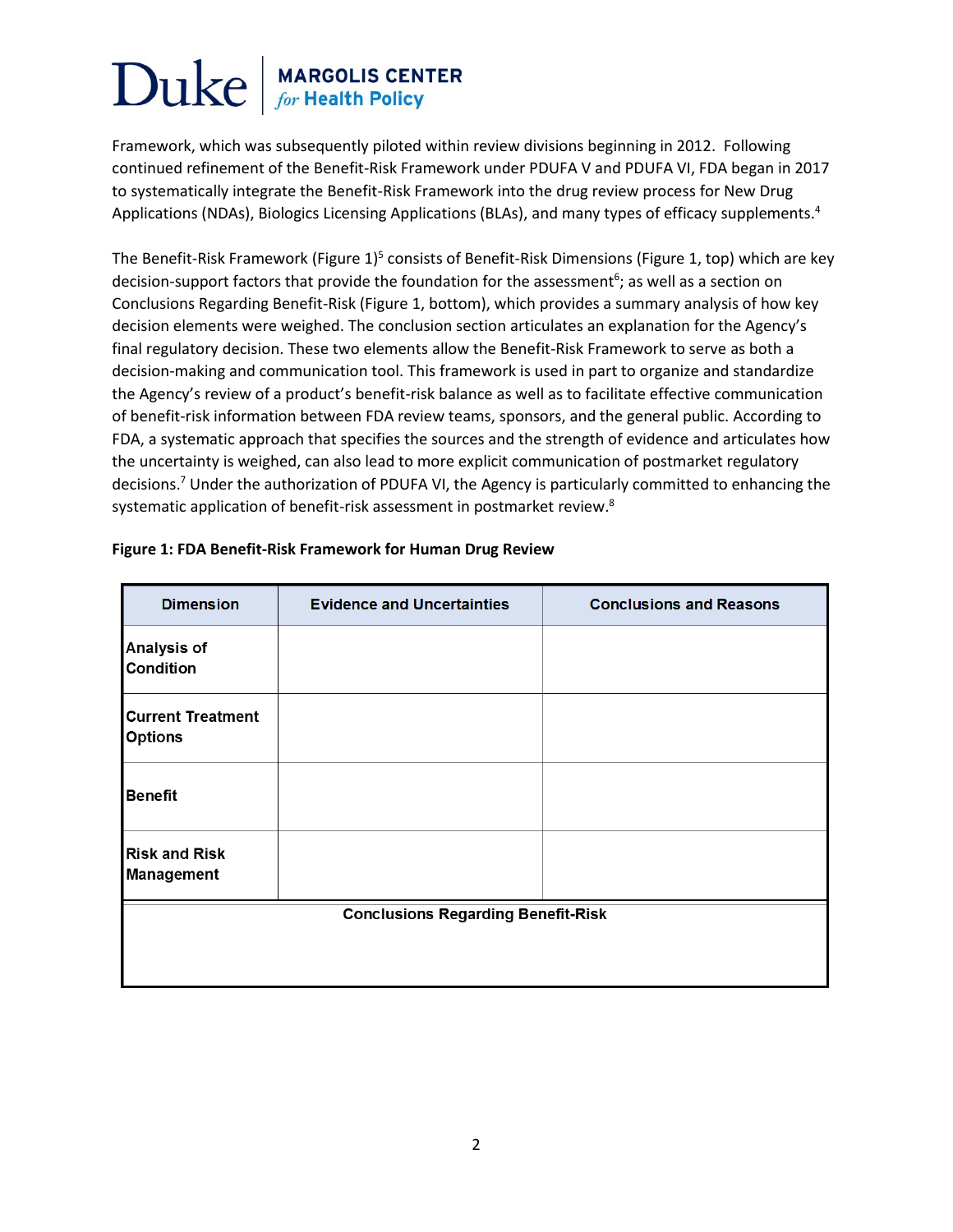# Duke **MARGOLIS CENTER**<br>for Health Policy

Framework, which was subsequently piloted within review divisions beginning in 2012. Following continued refinement of the Benefit-Risk Framework under PDUFA V and PDUFA VI, FDA began in 2017 to systematically integrate the Benefit-Risk Framework into the drug review process for New Drug Applications (NDAs), Biologics Licensing Applications (BLAs), and many types of efficacy supplements.<sup>4</sup>

The Benefit-Risk Framework (Figure 1)<sup>5</sup> consists of Benefit-Risk Dimensions (Figure 1, top) which are key decision-support factors that provide the foundation for the assessment<sup>6</sup>; as well as a section on Conclusions Regarding Benefit-Risk (Figure 1, bottom), which provides a summary analysis of how key decision elements were weighed. The conclusion section articulates an explanation for the Agency's final regulatory decision. These two elements allow the Benefit-Risk Framework to serve as both a decision-making and communication tool. This framework is used in part to organize and standardize the Agency's review of a product's benefit-risk balance as well as to facilitate effective communication of benefit-risk information between FDA review teams, sponsors, and the general public. According to FDA, a systematic approach that specifies the sources and the strength of evidence and articulates how the uncertainty is weighed, can also lead to more explicit communication of postmarket regulatory decisions.<sup>7</sup> Under the authorization of PDUFA VI, the Agency is particularly committed to enhancing the systematic application of benefit-risk assessment in postmarket review.<sup>8</sup>

| <b>Dimension</b>                           | <b>Evidence and Uncertainties</b> | <b>Conclusions and Reasons</b> |
|--------------------------------------------|-----------------------------------|--------------------------------|
| Analysis of<br><b>Condition</b>            |                                   |                                |
| <b>Current Treatment</b><br><b>Options</b> |                                   |                                |
| <b>Benefit</b>                             |                                   |                                |
| <b>Risk and Risk</b><br>Management         |                                   |                                |
| <b>Conclusions Regarding Benefit-Risk</b>  |                                   |                                |
|                                            |                                   |                                |

#### **Figure 1: FDA Benefit-Risk Framework for Human Drug Review**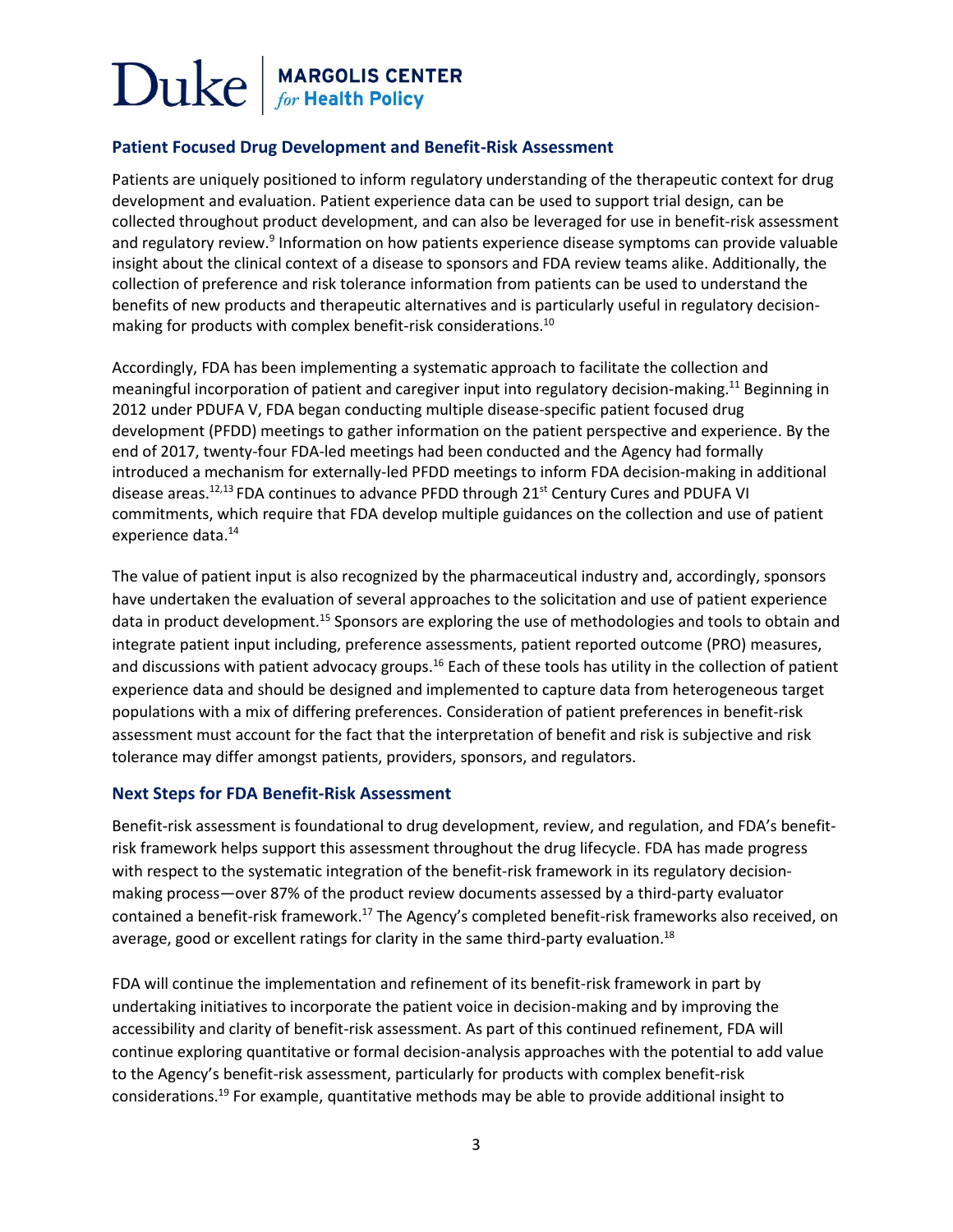## Duke **MARGOLIS CENTER**<br>for Health Policy

#### **Patient Focused Drug Development and Benefit-Risk Assessment**

Patients are uniquely positioned to inform regulatory understanding of the therapeutic context for drug development and evaluation. Patient experience data can be used to support trial design, can be collected throughout product development, and can also be leveraged for use in benefit-risk assessment and regulatory review.<sup>9</sup> Information on how patients experience disease symptoms can provide valuable insight about the clinical context of a disease to sponsors and FDA review teams alike. Additionally, the collection of preference and risk tolerance information from patients can be used to understand the benefits of new products and therapeutic alternatives and is particularly useful in regulatory decisionmaking for products with complex benefit-risk considerations.<sup>10</sup>

Accordingly, FDA has been implementing a systematic approach to facilitate the collection and meaningful incorporation of patient and caregiver input into regulatory decision-making.<sup>11</sup> Beginning in 2012 under PDUFA V, FDA began conducting multiple disease-specific patient focused drug development (PFDD) meetings to gather information on the patient perspective and experience. By the end of 2017, twenty-four FDA-led meetings had been conducted and the Agency had formally introduced a mechanism for externally-led PFDD meetings to inform FDA decision-making in additional disease areas.<sup>12,13</sup> FDA continues to advance PFDD through  $21^{st}$  Century Cures and PDUFA VI commitments, which require that FDA develop multiple guidances on the collection and use of patient experience data. 14

The value of patient input is also recognized by the pharmaceutical industry and, accordingly, sponsors have undertaken the evaluation of several approaches to the solicitation and use of patient experience data in product development.<sup>15</sup> Sponsors are exploring the use of methodologies and tools to obtain and integrate patient input including, preference assessments, patient reported outcome (PRO) measures, and discussions with patient advocacy groups.<sup>16</sup> Each of these tools has utility in the collection of patient experience data and should be designed and implemented to capture data from heterogeneous target populations with a mix of differing preferences. Consideration of patient preferences in benefit-risk assessment must account for the fact that the interpretation of benefit and risk is subjective and risk tolerance may differ amongst patients, providers, sponsors, and regulators.

#### **Next Steps for FDA Benefit-Risk Assessment**

Benefit-risk assessment is foundational to drug development, review, and regulation, and FDA's benefitrisk framework helps support this assessment throughout the drug lifecycle. FDA has made progress with respect to the systematic integration of the benefit-risk framework in its regulatory decisionmaking process—over 87% of the product review documents assessed by a third-party evaluator contained a benefit-risk framework.<sup>17</sup> The Agency's completed benefit-risk frameworks also received, on average, good or excellent ratings for clarity in the same third-party evaluation.<sup>18</sup>

FDA will continue the implementation and refinement of its benefit-risk framework in part by undertaking initiatives to incorporate the patient voice in decision-making and by improving the accessibility and clarity of benefit-risk assessment. As part of this continued refinement, FDA will continue exploring quantitative or formal decision-analysis approaches with the potential to add value to the Agency's benefit-risk assessment, particularly for products with complex benefit-risk considerations. <sup>19</sup> For example, quantitative methods may be able to provide additional insight to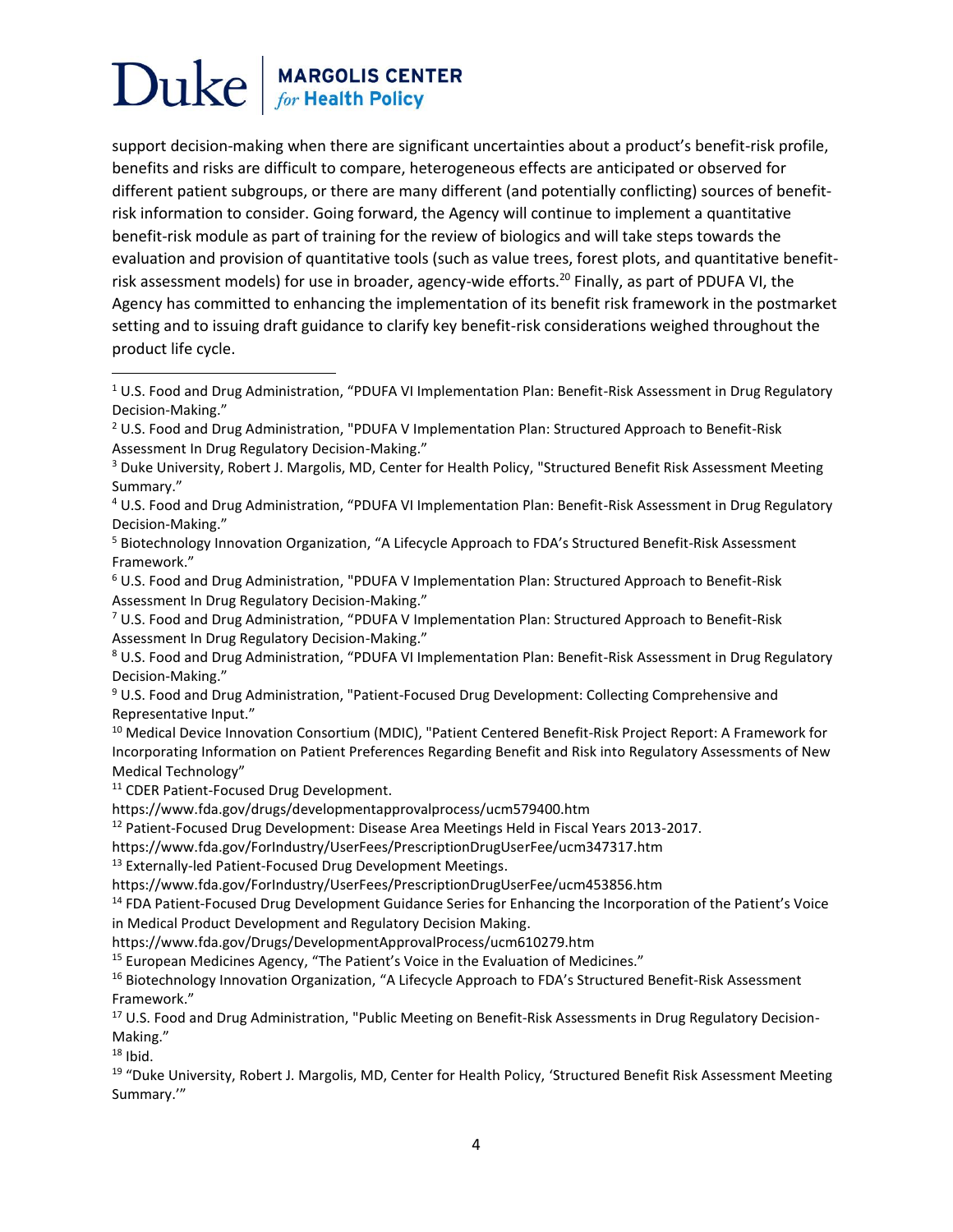## **MARGOLIS CENTER**<br>for Health Policy Duke

support decision-making when there are significant uncertainties about a product's benefit-risk profile, benefits and risks are difficult to compare, heterogeneous effects are anticipated or observed for different patient subgroups, or there are many different (and potentially conflicting) sources of benefitrisk information to consider. Going forward, the Agency will continue to implement a quantitative benefit-risk module as part of training for the review of biologics and will take steps towards the evaluation and provision of quantitative tools (such as value trees, forest plots, and quantitative benefitrisk assessment models) for use in broader, agency-wide efforts.<sup>20</sup> Finally, as part of PDUFA VI, the Agency has committed to enhancing the implementation of its benefit risk framework in the postmarket setting and to issuing draft guidance to clarify key benefit-risk considerations weighed throughout the product life cycle.

<sup>11</sup> CDER Patient-Focused Drug Development.

https://www.fda.gov/drugs/developmentapprovalprocess/ucm579400.htm

<sup>12</sup> Patient-Focused Drug Development: Disease Area Meetings Held in Fiscal Years 2013-2017.

https://www.fda.gov/ForIndustry/UserFees/PrescriptionDrugUserFee/ucm347317.htm

<sup>13</sup> Externally-led Patient-Focused Drug Development Meetings.

https://www.fda.gov/ForIndustry/UserFees/PrescriptionDrugUserFee/ucm453856.htm

<sup>14</sup> FDA Patient-Focused Drug Development Guidance Series for Enhancing the Incorporation of the Patient's Voice in Medical Product Development and Regulatory Decision Making.

https://www.fda.gov/Drugs/DevelopmentApprovalProcess/ucm610279.htm

<sup>15</sup> European Medicines Agency, "The Patient's Voice in the Evaluation of Medicines."

<sup>16</sup> Biotechnology Innovation Organization, "A Lifecycle Approach to FDA's Structured Benefit-Risk Assessment Framework."

<sup>17</sup> U.S. Food and Drug Administration, "Public Meeting on Benefit-Risk Assessments in Drug Regulatory Decision-Making."

 $18$  Ibid.

 $\overline{\phantom{a}}$ 

<sup>19</sup> "Duke University, Robert J. Margolis, MD, Center for Health Policy, 'Structured Benefit Risk Assessment Meeting Summary.'"

<sup>&</sup>lt;sup>1</sup> U.S. Food and Drug Administration, "PDUFA VI Implementation Plan: Benefit-Risk Assessment in Drug Regulatory Decision-Making."

 $2$  U.S. Food and Drug Administration, "PDUFA V Implementation Plan: Structured Approach to Benefit-Risk Assessment In Drug Regulatory Decision-Making."

<sup>3</sup> Duke University, Robert J. Margolis, MD, Center for Health Policy, "Structured Benefit Risk Assessment Meeting Summary."

<sup>4</sup> U.S. Food and Drug Administration, "PDUFA VI Implementation Plan: Benefit-Risk Assessment in Drug Regulatory Decision-Making."

<sup>5</sup> Biotechnology Innovation Organization, "A Lifecycle Approach to FDA's Structured Benefit-Risk Assessment Framework."

<sup>6</sup> U.S. Food and Drug Administration, "PDUFA V Implementation Plan: Structured Approach to Benefit-Risk Assessment In Drug Regulatory Decision-Making."

<sup>7</sup> U.S. Food and Drug Administration, "PDUFA V Implementation Plan: Structured Approach to Benefit-Risk Assessment In Drug Regulatory Decision-Making."

<sup>&</sup>lt;sup>8</sup> U.S. Food and Drug Administration, "PDUFA VI Implementation Plan: Benefit-Risk Assessment in Drug Regulatory Decision-Making."

<sup>9</sup> U.S. Food and Drug Administration, "Patient-Focused Drug Development: Collecting Comprehensive and Representative Input."

<sup>10</sup> Medical Device Innovation Consortium (MDIC), "Patient Centered Benefit‐Risk Project Report: A Framework for Incorporating Information on Patient Preferences Regarding Benefit and Risk into Regulatory Assessments of New Medical Technology"